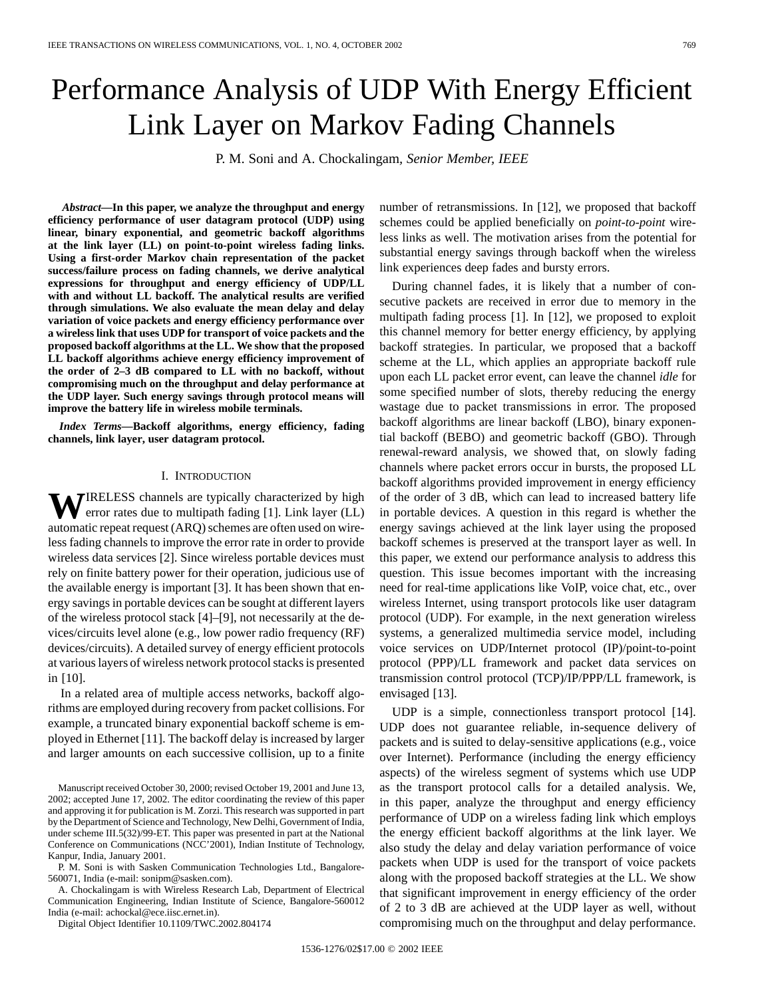# Performance Analysis of UDP With Energy Efficient Link Layer on Markov Fading Channels

P. M. Soni and A. Chockalingam*, Senior Member, IEEE*

*Abstract—***In this paper, we analyze the throughput and energy efficiency performance of user datagram protocol (UDP) using linear, binary exponential, and geometric backoff algorithms at the link layer (LL) on point-to-point wireless fading links. Using a first-order Markov chain representation of the packet success/failure process on fading channels, we derive analytical expressions for throughput and energy efficiency of UDP/LL with and without LL backoff. The analytical results are verified through simulations. We also evaluate the mean delay and delay variation of voice packets and energy efficiency performance over a wireless link that uses UDP for transport of voice packets and the proposed backoff algorithms at the LL. We show that the proposed LL backoff algorithms achieve energy efficiency improvement of the order of 2–3 dB compared to LL with no backoff, without compromising much on the throughput and delay performance at the UDP layer. Such energy savings through protocol means will improve the battery life in wireless mobile terminals.**

*Index Terms—***Backoff algorithms, energy efficiency, fading channels, link layer, user datagram protocol.**

## I. INTRODUCTION

**WIRELESS** channels are typically characterized by high error rates due to multipath fading [1]. Link layer (LL) automatic repeat request (ARQ) schemes are often used on wireless fading channels to improve the error rate in order to provide wireless data services [2]. Since wireless portable devices must rely on finite battery power for their operation, judicious use of the available energy is important [3]. It has been shown that energy savings in portable devices can be sought at different layers of the wireless protocol stack [4]–[9], not necessarily at the devices/circuits level alone (e.g., low power radio frequency (RF) devices/circuits). A detailed survey of energy efficient protocols at various layers of wireless network protocol stacks is presented in [10].

In a related area of multiple access networks, backoff algorithms are employed during recovery from packet collisions. For example, a truncated binary exponential backoff scheme is employed in Ethernet [11]. The backoff delay is increased by larger and larger amounts on each successive collision, up to a finite

Manuscript received October 30, 2000; revised October 19, 2001 and June 13, 2002; accepted June 17, 2002. The editor coordinating the review of this paper and approving it for publication is M. Zorzi. This research was supported in part by the Department of Science and Technology, New Delhi, Government of India, under scheme III.5(32)/99-ET. This paper was presented in part at the National Conference on Communications (NCC'2001), Indian Institute of Technology, Kanpur, India, January 2001.

P. M. Soni is with Sasken Communication Technologies Ltd., Bangalore-560071, India (e-mail: sonipm@sasken.com).

A. Chockalingam is with Wireless Research Lab, Department of Electrical Communication Engineering, Indian Institute of Science, Bangalore-560012 India (e-mail: achockal@ece.iisc.ernet.in).

Digital Object Identifier 10.1109/TWC.2002.804174

number of retransmissions. In [12], we proposed that backoff schemes could be applied beneficially on *point-to-point* wireless links as well. The motivation arises from the potential for substantial energy savings through backoff when the wireless link experiences deep fades and bursty errors.

During channel fades, it is likely that a number of consecutive packets are received in error due to memory in the multipath fading process [1]. In [12], we proposed to exploit this channel memory for better energy efficiency, by applying backoff strategies. In particular, we proposed that a backoff scheme at the LL, which applies an appropriate backoff rule upon each LL packet error event, can leave the channel *idle* for some specified number of slots, thereby reducing the energy wastage due to packet transmissions in error. The proposed backoff algorithms are linear backoff (LBO), binary exponential backoff (BEBO) and geometric backoff (GBO). Through renewal-reward analysis, we showed that, on slowly fading channels where packet errors occur in bursts, the proposed LL backoff algorithms provided improvement in energy efficiency of the order of 3 dB, which can lead to increased battery life in portable devices. A question in this regard is whether the energy savings achieved at the link layer using the proposed backoff schemes is preserved at the transport layer as well. In this paper, we extend our performance analysis to address this question. This issue becomes important with the increasing need for real-time applications like VoIP, voice chat, etc., over wireless Internet, using transport protocols like user datagram protocol (UDP). For example, in the next generation wireless systems, a generalized multimedia service model, including voice services on UDP/Internet protocol (IP)/point-to-point protocol (PPP)/LL framework and packet data services on transmission control protocol (TCP)/IP/PPP/LL framework, is envisaged [13].

UDP is a simple, connectionless transport protocol [14]. UDP does not guarantee reliable, in-sequence delivery of packets and is suited to delay-sensitive applications (e.g., voice over Internet). Performance (including the energy efficiency aspects) of the wireless segment of systems which use UDP as the transport protocol calls for a detailed analysis. We, in this paper, analyze the throughput and energy efficiency performance of UDP on a wireless fading link which employs the energy efficient backoff algorithms at the link layer. We also study the delay and delay variation performance of voice packets when UDP is used for the transport of voice packets along with the proposed backoff strategies at the LL. We show that significant improvement in energy efficiency of the order of 2 to 3 dB are achieved at the UDP layer as well, without compromising much on the throughput and delay performance.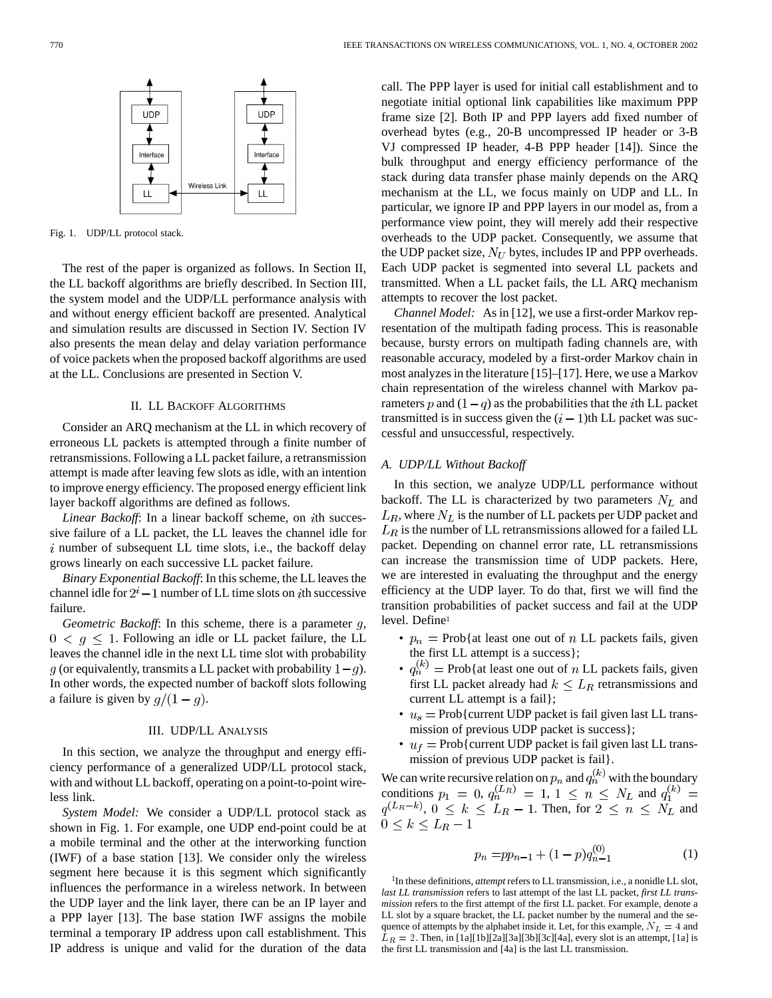

Fig. 1. UDP/LL protocol stack.

The rest of the paper is organized as follows. In Section II, the LL backoff algorithms are briefly described. In Section III, the system model and the UDP/LL performance analysis with and without energy efficient backoff are presented. Analytical and simulation results are discussed in Section IV. Section IV also presents the mean delay and delay variation performance of voice packets when the proposed backoff algorithms are used at the LL. Conclusions are presented in Section V.

### II. LL BACKOFF ALGORITHMS

Consider an ARQ mechanism at the LL in which recovery of erroneous LL packets is attempted through a finite number of retransmissions. Following a LL packet failure, a retransmission attempt is made after leaving few slots as idle, with an intention to improve energy efficiency. The proposed energy efficient link layer backoff algorithms are defined as follows.

*Linear Backoff*: In a linear backoff scheme, on *i*th successive failure of a LL packet, the LL leaves the channel idle for  $i$  number of subsequent LL time slots, i.e., the backoff delay grows linearly on each successive LL packet failure.

*Binary Exponential Backoff*: In this scheme, the LL leaves the channel idle for  $2^{i} - 1$  number of LL time slots on *i*th successive failure.

*Geometric Backoff*: In this scheme, there is a parameter  $q$ ,  $0 \lt q \leq 1$ . Following an idle or LL packet failure, the LL leaves the channel idle in the next LL time slot with probability  $g$  (or equivalently, transmits a LL packet with probability  $1 - g$ ). In other words, the expected number of backoff slots following a failure is given by  $g/(1 - g)$ .

### III. UDP/LL ANALYSIS

In this section, we analyze the throughput and energy efficiency performance of a generalized UDP/LL protocol stack, with and without LL backoff, operating on a point-to-point wireless link.

*System Model:* We consider a UDP/LL protocol stack as shown in Fig. 1. For example, one UDP end-point could be at a mobile terminal and the other at the interworking function (IWF) of a base station [13]. We consider only the wireless segment here because it is this segment which significantly influences the performance in a wireless network. In between the UDP layer and the link layer, there can be an IP layer and a PPP layer [13]. The base station IWF assigns the mobile terminal a temporary IP address upon call establishment. This IP address is unique and valid for the duration of the data call. The PPP layer is used for initial call establishment and to negotiate initial optional link capabilities like maximum PPP frame size [2]. Both IP and PPP layers add fixed number of overhead bytes (e.g., 20-B uncompressed IP header or 3-B VJ compressed IP header, 4-B PPP header [14]). Since the bulk throughput and energy efficiency performance of the stack during data transfer phase mainly depends on the ARQ mechanism at the LL, we focus mainly on UDP and LL. In particular, we ignore IP and PPP layers in our model as, from a performance view point, they will merely add their respective overheads to the UDP packet. Consequently, we assume that the UDP packet size,  $N_U$  bytes, includes IP and PPP overheads. Each UDP packet is segmented into several LL packets and transmitted. When a LL packet fails, the LL ARQ mechanism attempts to recover the lost packet.

*Channel Model:* As in [12], we use a first-order Markov representation of the multipath fading process. This is reasonable because, bursty errors on multipath fading channels are, with reasonable accuracy, modeled by a first-order Markov chain in most analyzes in the literature [15]–[17]. Here, we use a Markov chain representation of the wireless channel with Markov parameters p and  $(1 - q)$  as the probabilities that the *i*th LL packet transmitted is in success given the  $(i - 1)$ th LL packet was successful and unsuccessful, respectively.

## *A. UDP/LL Without Backoff*

In this section, we analyze UDP/LL performance without backoff. The LL is characterized by two parameters  $N_L$  and  $L_R$ , where  $N_L$  is the number of LL packets per UDP packet and  $L_R$  is the number of LL retransmissions allowed for a failed LL packet. Depending on channel error rate, LL retransmissions can increase the transmission time of UDP packets. Here, we are interested in evaluating the throughput and the energy efficiency at the UDP layer. To do that, first we will find the transition probabilities of packet success and fail at the UDP level. Define<sup>1</sup>

- $p_n$  = Prob{at least one out of n LL packets fails, given the first LL attempt is a success};
- $q_n^{(k)} = \text{Prob}\{\text{at least one out of }n \text{ LL packets fails, given}\}$ first LL packet already had  $k \leq L_R$  retransmissions and current LL attempt is a fail};
- $u_s$  = Prob{current UDP packet is fail given last LL transmission of previous UDP packet is success};
- $u_f$  = Prob{current UDP packet is fail given last LL transmission of previous UDP packet is fail}.

We can write recursive relation on  $p_n$  and  $q_n^{(k)}$  with the boundary conditions  $p_1 = 0, q_n^{(L_R)} = 1, 1 \le n \le N_L$  and ,  $0 \leq k \leq L_R - 1$ . Then, for  $2 \leq n \leq N_L$  and  $0\leq k\leq L_R-1$ 

$$
p_n = pp_{n-1} + (1-p)q_{n-1}^{(0)} \tag{1}
$$

<sup>1</sup>In these definitions, *attempt* refers to LL transmission, i.e., a nonidle LL slot, *last LL transmission* refers to last attempt of the last LL packet, *first LL transmission* refers to the first attempt of the first LL packet. For example, denote a LL slot by a square bracket, the LL packet number by the numeral and the sequence of attempts by the alphabet inside it. Let, for this example,  $N_L = 4$  and  $L_R = 2$ . Then, in [1a][1b][2a][3a][3b][3c][4a], every slot is an attempt, [1a] is the first LL transmission and [4a] is the last LL transmission.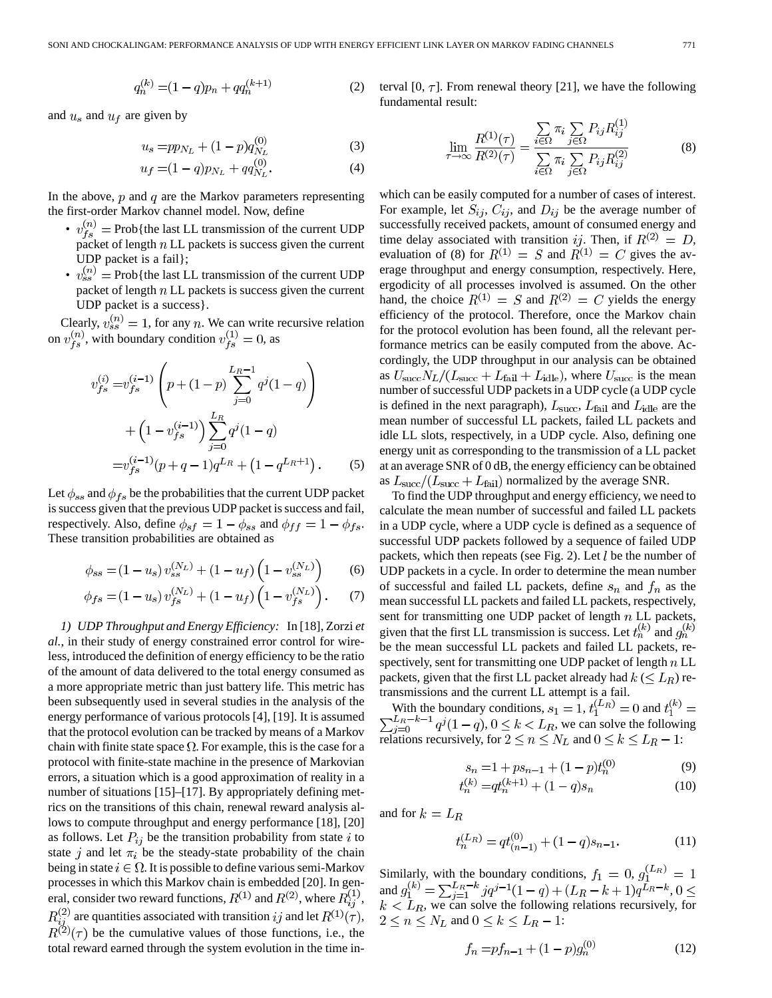$$
q_n^{(k)} = (1 - q)p_n + qq_n^{(k+1)}
$$
\n(2)

and  $u_s$  and  $u_f$  are given by

$$
u_s = pp_{N_L} + (1 - p)q_{N_L}^{(0)}\tag{3}
$$

$$
u_f = (1 - q)p_{N_L} + qq_{N_L}^{(0)}.
$$
 (4)

In the above,  $p$  and  $q$  are the Markov parameters representing the first-order Markov channel model. Now, define

- $v_{fs}^{(n)}$  = Prob{the last LL transmission of the current UDP packet of length  $n$  LL packets is success given the current UDP packet is a fail};
- $v_{ss}^{(n)}$  = Prob{the last LL transmission of the current UDP packet of length  $n$  LL packets is success given the current UDP packet is a success}.

Clearly,  $v_{ss}^{(n)} = 1$ , for any *n*. We can write recursive relation on  $v_{fs}^{(n)}$ , with boundary condition  $v_{fs}^{(1)} = 0$ , as

$$
v_{fs}^{(i)} = v_{fs}^{(i-1)} \left( p + (1-p) \sum_{j=0}^{L_R - 1} q^j (1-q) \right)
$$
  
+ 
$$
\left( 1 - v_{fs}^{(i-1)} \right) \sum_{j=0}^{L_R} q^j (1-q)
$$
  
= 
$$
v_{fs}^{(i-1)} (p+q-1) q^{L_R} + (1 - q^{L_R + 1}).
$$
 (5)

Let  $\phi_{ss}$  and  $\phi_{fs}$  be the probabilities that the current UDP packet is success given that the previous UDP packet is success and fail, respectively. Also, define  $\phi_{sf} = 1 - \phi_{ss}$  and  $\phi_{ff} = 1 - \phi_{fs}$ . These transition probabilities are obtained as

$$
\phi_{ss} = (1 - u_s) v_{ss}^{(N_L)} + (1 - u_f) \left( 1 - v_{ss}^{(N_L)} \right) \tag{6}
$$

$$
\phi_{fs} = (1 - u_s) v_{fs}^{(N_L)} + (1 - u_f) \left( 1 - v_{fs}^{(N_L)} \right). \tag{7}
$$

*1) UDP Throughput and Energy Efficiency:* In [18], Zorzi *et al.*, in their study of energy constrained error control for wireless, introduced the definition of energy efficiency to be the ratio of the amount of data delivered to the total energy consumed as a more appropriate metric than just battery life. This metric has been subsequently used in several studies in the analysis of the energy performance of various protocols [4], [19]. It is assumed that the protocol evolution can be tracked by means of a Markov chain with finite state space  $\Omega$ . For example, this is the case for a protocol with finite-state machine in the presence of Markovian errors, a situation which is a good approximation of reality in a number of situations [15]–[17]. By appropriately defining metrics on the transitions of this chain, renewal reward analysis allows to compute throughput and energy performance [18], [20] as follows. Let  $P_{ij}$  be the transition probability from state i to state j and let  $\pi_i$  be the steady-state probability of the chain being in state  $i \in \Omega$ . It is possible to define various semi-Markov processes in which this Markov chain is embedded [20]. In general, consider two reward functions,  $R^{(1)}$  and  $R^{(2)}$ , where  $R_{ii}^{(1)}$ ,  $R_{ij}^{(2)}$  are quantities associated with transition ij and let  $R^{(1)}(\tau)$ ,  $R^{(2)}(\tau)$  be the cumulative values of those functions, i.e., the total reward earned through the system evolution in the time in-

terval [0,  $\tau$ ]. From renewal theory [21], we have the following fundamental result:

$$
\lim_{\tau \to \infty} \frac{R^{(1)}(\tau)}{R^{(2)}(\tau)} = \frac{\sum\limits_{i \in \Omega} \pi_i \sum\limits_{j \in \Omega} P_{ij} R_{ij}^{(1)}}{\sum\limits_{i \in \Omega} \pi_i \sum\limits_{j \in \Omega} P_{ij} R_{ij}^{(2)}}
$$
(8)

which can be easily computed for a number of cases of interest. For example, let  $S_{ij}$ ,  $C_{ij}$ , and  $D_{ij}$  be the average number of successfully received packets, amount of consumed energy and time delay associated with transition ij. Then, if  $R^{(2)} = D$ , evaluation of (8) for  $R^{(1)} = S$  and  $R^{(1)} = C$  gives the average throughput and energy consumption, respectively. Here, ergodicity of all processes involved is assumed. On the other hand, the choice  $R^{(1)} = S$  and  $R^{(2)} = C$  yields the energy efficiency of the protocol. Therefore, once the Markov chain for the protocol evolution has been found, all the relevant performance metrics can be easily computed from the above. Accordingly, the UDP throughput in our analysis can be obtained as  $U_{\text{succ}}N_L/(L_{\text{succ}}+L_{\text{fail}}+L_{\text{idle}})$ , where  $U_{\text{succ}}$  is the mean number of successful UDP packets in a UDP cycle (a UDP cycle is defined in the next paragraph),  $L_{succ}$ ,  $L_{fail}$  and  $L_{idle}$  are the mean number of successful LL packets, failed LL packets and idle LL slots, respectively, in a UDP cycle. Also, defining one energy unit as corresponding to the transmission of a LL packet at an average SNR of 0 dB, the energy efficiency can be obtained as  $L_{succ}/(L_{succ} + L_{fail})$  normalized by the average SNR.

To find the UDP throughput and energy efficiency, we need to calculate the mean number of successful and failed LL packets in a UDP cycle, where a UDP cycle is defined as a sequence of successful UDP packets followed by a sequence of failed UDP packets, which then repeats (see Fig. 2). Let  $l$  be the number of UDP packets in a cycle. In order to determine the mean number of successful and failed LL packets, define  $s_n$  and  $f_n$  as the mean successful LL packets and failed LL packets, respectively, sent for transmitting one UDP packet of length  $n$  LL packets, given that the first LL transmission is success. Let  $t_n^{(k)}$  and  $q_n^{(k)}$ be the mean successful LL packets and failed LL packets, respectively, sent for transmitting one UDP packet of length  $n$  LL packets, given that the first LL packet already had  $k \leq L_R$ ) retransmissions and the current LL attempt is a fail.

With the boundary conditions,  $s_1 = 1, t_1^{\langle L_R \rangle} = 0$  and ,  $0 \leq k < L_R$ , we can solve the following relations recursively, for  $2 \le n \le N_L$  and  $0 \le k \le L_R - 1$ :

$$
s_n = 1 + ps_{n-1} + (1 - p)t_n^{(0)}
$$
(9)

$$
t_n^{(k)} = qt_n^{(k+1)} + (1-q)s_n \tag{10}
$$

and for  $k = L_R$ 

$$
t_n^{(L_R)} = qt_{(n-1)}^{(0)} + (1-q)s_{n-1}.
$$
 (11)

Similarly, with the boundary conditions,  $f_1 = 0$ , and  $g_1^{(k)} = \sum_{i=1}^{L_R - k} jq^{j-1}(1-q) + (L_R - k + 1)q^{L_R - k},$ , we can solve the following relations recursively, for  $2 \leq n \leq N_L$  and  $0 \leq k \leq L_R - 1$ :

$$
f_n = pf_{n-1} + (1-p)g_n^{(0)} \tag{12}
$$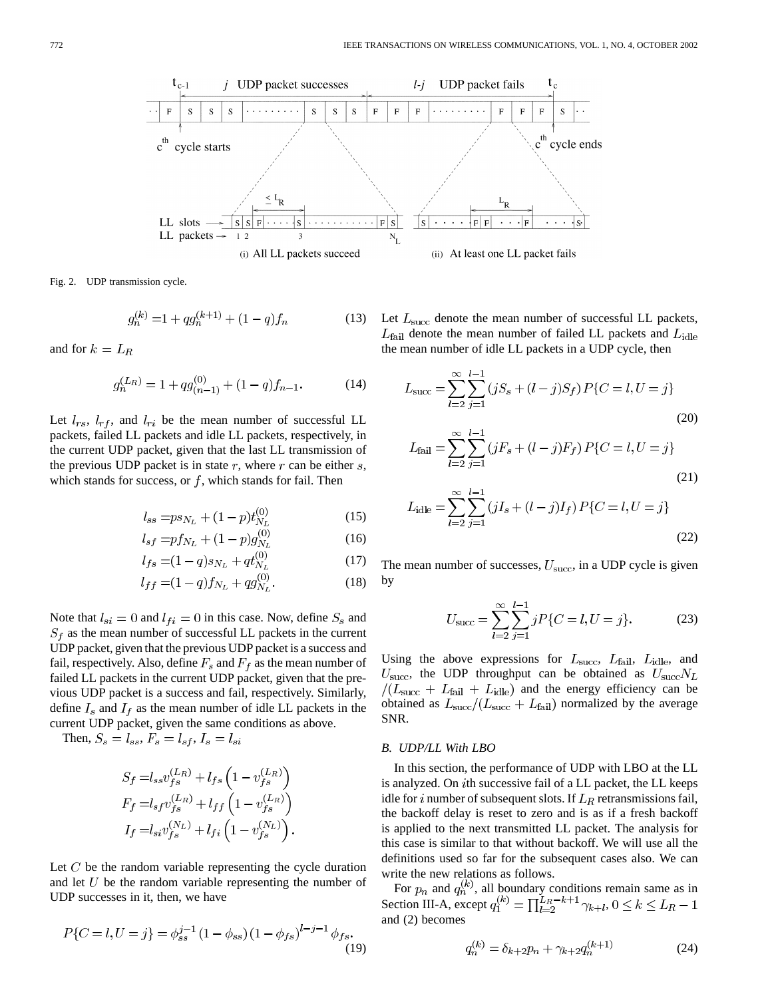

Fig. 2. UDP transmission cycle.

$$
g_n^{(k)} = 1 + qg_n^{(k+1)} + (1-q)f_n \tag{13}
$$

and for  $k = L_R$ 

$$
g_n^{(L_R)} = 1 + qg_{(n-1)}^{(0)} + (1-q)f_{n-1}.
$$
 (14)

Let  $l_{rs}$ ,  $l_{rf}$ , and  $l_{ri}$  be the mean number of successful LL packets, failed LL packets and idle LL packets, respectively, in the current UDP packet, given that the last LL transmission of the previous UDP packet is in state  $r$ , where  $r$  can be either  $s$ , which stands for success, or  $f$ , which stands for fail. Then

$$
l_{ss} = p s_{N_L} + (1 - p) t_{N_L}^{(0)} \tag{15}
$$

$$
l_{sf} = pf_{N_L} + (1 - p)g_{N_L}^{(0)} \tag{16}
$$

$$
l_{fs} = (1 - q)s_{N_L} + qt_{N_L}^{(0)} \tag{17}
$$

$$
l_{ff} = (1 - q)f_{N_L} + qg_{N_L}^{(0)}.
$$
 (18)

Note that  $l_{si} = 0$  and  $l_{fi} = 0$  in this case. Now, define  $S_s$  and  $S_f$  as the mean number of successful LL packets in the current UDP packet, given that the previous UDP packet is a success and fail, respectively. Also, define  $F_s$  and  $F_f$  as the mean number of failed LL packets in the current UDP packet, given that the previous UDP packet is a success and fail, respectively. Similarly, define  $I_s$  and  $I_f$  as the mean number of idle LL packets in the current UDP packet, given the same conditions as above.

Then,  $S_s = l_{ss}, F_s = l_{sf}, I_s = l_{si}$ 

$$
\begin{split} S_f = & l_{ss} v_{fs}^{(L_R)} + l_{fs} \left( 1 - v_{fs}^{(L_R)} \right) \\ F_f = & l_{sf} v_{fs}^{(L_R)} + l_{ff} \left( 1 - v_{fs}^{(L_R)} \right) \\ & I_f = & l_{si} v_{fs}^{(N_L)} + l_{fi} \left( 1 - v_{fs}^{(N_L)} \right). \end{split}
$$

Let  $C$  be the random variable representing the cycle duration and let  $U$  be the random variable representing the number of UDP successes in it, then, we have

$$
P\{C = l, U = j\} = \phi_{ss}^{j-1} \left(1 - \phi_{ss}\right) \left(1 - \phi_{fs}\right)^{l-j-1} \phi_{fs}.
$$
\n(19)

Let  $L<sub>succ</sub>$  denote the mean number of successful LL packets,  $L_{\text{fail}}$  denote the mean number of failed LL packets and  $L_{\text{idle}}$ the mean number of idle LL packets in a UDP cycle, then

$$
L_{\text{succ}} = \sum_{l=2}^{\infty} \sum_{j=1}^{l-1} (jS_s + (l-j)S_f) P\{C = l, U = j\}
$$
\n(20)

$$
L_{\text{fail}} = \sum_{l=2}^{\infty} \sum_{j=1}^{l-1} (jF_s + (l-j)F_f) P\{C = l, U = j\}
$$
\n(21)

$$
L_{\text{idle}} = \sum_{l=2}^{\infty} \sum_{j=1}^{l-1} (jI_s + (l-j)I_f) P\{C = l, U = j\}
$$
\n(22)

The mean number of successes,  $U_{\text{succ}}$ , in a UDP cycle is given by

$$
U_{\text{succ}} = \sum_{l=2}^{\infty} \sum_{j=1}^{l-1} jP\{C = l, U = j\}.
$$
 (23)

Using the above expressions for  $L_{succ}$ ,  $L_{fall}$ ,  $L_{idle}$ , and  $U_{\text{succ}}$ , the UDP throughput can be obtained as  $U_{\text{succ}}N_L$  $/(L_{\text{succ}} + L_{\text{fail}} + L_{\text{idle}})$  and the energy efficiency can be obtained as  $L_{succ}/(L_{succ} + L_{fail})$  normalized by the average SNR.

# *B. UDP/LL With LBO*

In this section, the performance of UDP with LBO at the LL is analyzed. On ith successive fail of a LL packet, the LL keeps idle for i number of subsequent slots. If  $L_R$  retransmissions fail, the backoff delay is reset to zero and is as if a fresh backoff is applied to the next transmitted LL packet. The analysis for this case is similar to that without backoff. We will use all the definitions used so far for the subsequent cases also. We can write the new relations as follows.

For  $p_n$  and  $q_n^{(\kappa)}$ , all boundary conditions remain same as in Section III-A, except  $q_1^{(k)} = \prod_{l=2}^{L_R - k + 1} \gamma_{k+l}$ , and (2) becomes

$$
q_n^{(k)} = \delta_{k+2}p_n + \gamma_{k+2}q_n^{(k+1)}
$$
 (24)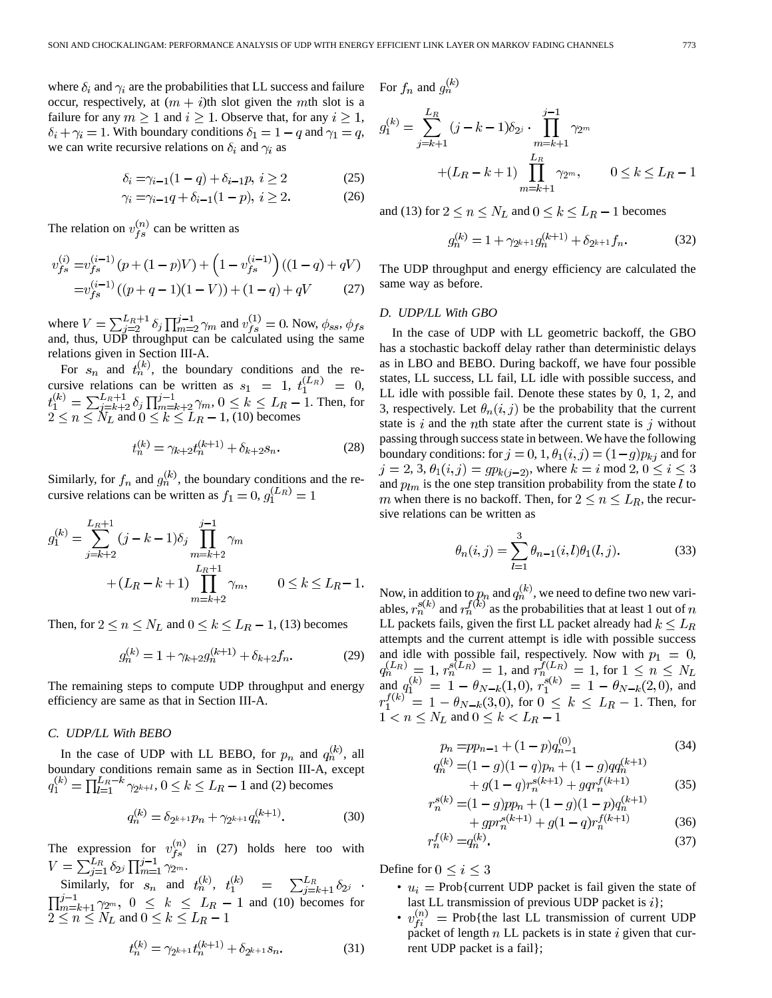where  $\delta_i$  and  $\gamma_i$  are the probabilities that LL success and failure occur, respectively, at  $(m + i)$ th slot given the mth slot is a failure for any  $m \ge 1$  and  $i \ge 1$ . Observe that, for any  $i \ge 1$ ,  $\delta_i + \gamma_i = 1$ . With boundary conditions  $\delta_1 = 1 - q$  and  $\gamma_1 = q$ , we can write recursive relations on  $\delta_i$  and  $\gamma_i$  as

$$
\delta_i = \gamma_{i-1}(1-q) + \delta_{i-1}p, \ i \ge 2 \tag{25}
$$

$$
\gamma_i = \gamma_{i-1}q + \delta_{i-1}(1-p), \ i \ge 2. \tag{26}
$$

The relation on  $v_{fs}^{(n)}$  can be written as

$$
v_{fs}^{(i)} = v_{fs}^{(i-1)} (p + (1-p)V) + (1 - v_{fs}^{(i-1)})((1-q) + qV)
$$
  
= 
$$
v_{fs}^{(i-1)} ((p+q-1)(1-V)) + (1-q) + qV
$$
 (27)

where  $V = \sum_{i=2}^{L_R+1} \delta_i \prod_{m=2}^{j-1} \gamma_m$  and  $v_{fs}^{(1)} = 0$ . Now,  $\phi_{ss}$ , and, thus, UDP throughput can be calculated using the same relations given in Section III-A.

For  $s_n$  and  $t_n^{(k)}$ , the boundary conditions and the recursive relations can be written as  $s_1 = 1, t_1^{(L_R)} = 0$ , ,  $0 \leq k \leq L_R - 1$ . Then, for and  $0 \le k \le L_R - 1$ , (10) becomes

$$
t_n^{(k)} = \gamma_{k+2} t_n^{(k+1)} + \delta_{k+2} s_n.
$$
 (28)

Similarly, for  $f_n$  and  $g_n^{(k)}$ , the boundary conditions and the recursive relations can be written as  $f_1 = 0, g_1^{(L_R)} = 1$ 

$$
g_1^{(k)} = \sum_{j=k+2}^{L_R+1} (j - k - 1)\delta_j \prod_{\substack{m=k+2\\L_R+1}}^{j-1} \gamma_m
$$
  
+  $(L_R - k + 1) \prod_{\substack{L_R+1\\m=k+2}}^{L_R+1} \gamma_m$ ,  $0 \le k \le L_R - 1$ .

Then, for  $2 \le n \le N_L$  and  $0 \le k \le L_R - 1$ , (13) becomes

$$
g_n^{(k)} = 1 + \gamma_{k+2} g_n^{(k+1)} + \delta_{k+2} f_n.
$$
 (29)

The remaining steps to compute UDP throughput and energy efficiency are same as that in Section III-A.

## *C. UDP/LL With BEBO*

In the case of UDP with LL BEBO, for  $p_n$  and  $q_n^{(\kappa)}$ , all boundary conditions remain same as in Section III-A, except  $q_1^{(k)} = \prod_{l=1}^{L_R-k} \gamma_{2^{k+l}}$ ,  $0 \le k \le L_R - 1$  and (2) becomes

$$
q_n^{(k)} = \delta_{2^{k+1}} p_n + \gamma_{2^{k+1}} q_n^{(k+1)}.
$$
 (30)

The expression for  $v_{fs}^{(n)}$  in (27) holds here too with .

Similarly, for  $s_n$  and  $t_n^{(\kappa)}$ , and (10) becomes for and

$$
t_n^{(k)} = \gamma_{2^{k+1}} t_n^{(k+1)} + \delta_{2^{k+1}} s_n.
$$
 (31)

For  $f_n$  and  $g_n^{(k)}$ 

$$
g_1^{(k)} = \sum_{j=k+1}^{L_R} (j - k - 1)\delta_{2j} \cdot \prod_{\substack{m=k+1 \ m=k+1}}^{j-1} \gamma_{2^m}
$$
  
+(L\_R - k + 1) 
$$
\prod_{\substack{m=k+1 \ m=k+1}}^{L_R} \gamma_{2^m}, \qquad 0 \le k \le L_R - 1
$$

and (13) for  $2 \le n \le N_L$  and  $0 \le k \le L_R - 1$  becomes

$$
g_n^{(k)} = 1 + \gamma_{2^{k+1}} g_n^{(k+1)} + \delta_{2^{k+1}} f_n.
$$
 (32)

The UDP throughput and energy efficiency are calculated the same way as before.

## *D. UDP/LL With GBO*

In the case of UDP with LL geometric backoff, the GBO has a stochastic backoff delay rather than deterministic delays as in LBO and BEBO. During backoff, we have four possible states, LL success, LL fail, LL idle with possible success, and LL idle with possible fail. Denote these states by 0, 1, 2, and 3, respectively. Let  $\theta_n(i, j)$  be the probability that the current state is i and the nth state after the current state is j without passing through success state in between. We have the following boundary conditions: for  $j = 0, 1, \theta_1(i, j) = (1 - g)p_{kj}$  and for  $j = 2, 3, \theta_1(i, j) = gp_{k(j-2)}$ , where  $k = i \mod 2, 0 \le i \le 3$ and  $p_{lm}$  is the one step transition probability from the state  $l$  to m when there is no backoff. Then, for  $2 \le n \le L_R$ , the recursive relations can be written as

$$
\theta_n(i,j) = \sum_{l=1}^3 \theta_{n-1}(i,l)\theta_1(l,j).
$$
 (33)

Now, in addition to  $p_n$  and  $q_n^{(\kappa)}$ , we need to define two new variables,  $r_n^{s(k)}$  and  $r_n^{f(k)}$  as the probabilities that at least 1 out of LL packets fails, given the first LL packet already had  $k \leq L_R$ attempts and the current attempt is idle with possible success and idle with possible fail, respectively. Now with  $p_1 = 0$ , ,  $r_n^{s(L_R)} = 1$ , and  $r_n^{J(L_R)} = 1$ , for and  $q_1^{(\kappa)} = 1 - \theta_{N-k}(1,0), r_1^{s(\kappa)} = 1 - \theta_{N-k}(2,0)$ , and , for  $0~\leq~k~\leq~L_R-1.$  Then, for and

$$
p_n = pp_{n-1} + (1-p)q_{n-1}^{(0)}
$$
(34)

$$
q_n^{(k)} = (1 - g)(1 - q)p_n + (1 - g)qq_n^{(k+1)}
$$
  
+  $g(1 - q)r_n^{s(k+1)} + gqr_n^{f(k+1)}$  (35)

$$
r_n^{s(k)} = (1-g)pp_n + (1-g)(1-p)q_n^{(k+1)}
$$
  
+  $qm^{s(k+1)} + q(1-q)r^{f(k+1)}$  (36)

+ 
$$
gpr_n^{s(k+1)} + g(1-q)r_n^{f(k+1)}
$$
 (36)  
 $r_n^{f(k)} = q_n^{(k)}$ . (37)

Define for  $0 \leq i \leq 3$ 

- $u_i$  = Prob{current UDP packet is fail given the state of last LL transmission of previous UDP packet is  $i$  ;
- $v_{f_i}^{(n)}$  = Prob{the last LL transmission of current UDP packet of length  $n$  LL packets is in state  $i$  given that current UDP packet is a fail};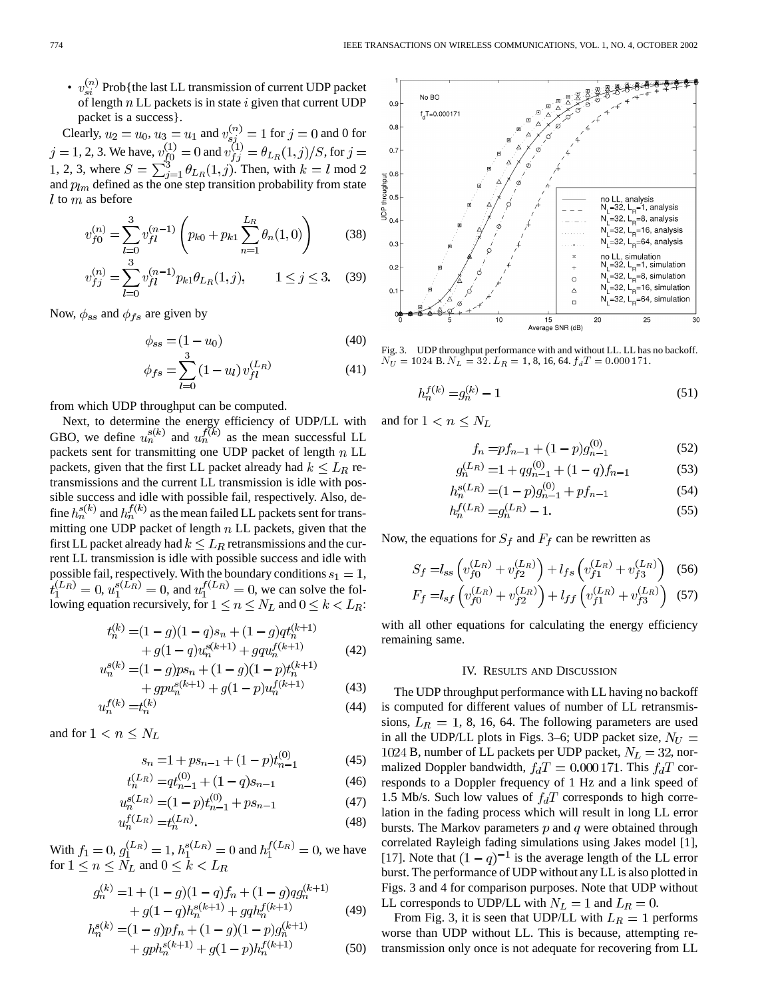•  $v_{si}^{(n)}$  Prob{the last LL transmission of current UDP packet of length  $n$  LL packets is in state  $i$  given that current UDP packet is a success}.

Clearly,  $u_2 = u_0$ ,  $u_3 = u_1$  and  $v_{si}^{(n)} = 1$  for  $j = 0$  and 0 for , 2, 3. We have,  $v_{f_0}^{(1)} = 0$  and  $v_{f_i}^{(1)} = \theta_{L_R}(1,j)/S$ , for , 2, 3, where  $S = \sum_{i=1}^{3} \theta_{L_R}(1, j)$ . Then, with  $k = l$  mod and  $p_{lm}$  defined as the one step transition probability from state  $l$  to  $m$  as before

$$
v_{f0}^{(n)} = \sum_{l=0}^{3} v_{fl}^{(n-1)} \left( p_{k0} + p_{k1} \sum_{n=1}^{L_R} \theta_n(1,0) \right)
$$
 (38)

$$
v_{fj}^{(n)} = \sum_{l=0}^{3} v_{fl}^{(n-1)} p_{k1} \theta_{L_R}(1, j), \qquad 1 \le j \le 3. \tag{39}
$$

Now,  $\phi_{ss}$  and  $\phi_{fs}$  are given by

$$
\phi_{ss} = (1 - u_0) \tag{40}
$$

$$
\phi_{fs} = \sum_{l=0}^{3} (1 - u_l) v_{fl}^{(L_R)}
$$
(41)

from which UDP throughput can be computed.

Next, to determine the energy efficiency of UDP/LL with GBO, we define  $u_n^{s(k)}$  and  $u_n^{J(k)}$  as the mean successful LL packets sent for transmitting one UDP packet of length  $n$  LL packets, given that the first LL packet already had  $k \leq L_R$  retransmissions and the current LL transmission is idle with possible success and idle with possible fail, respectively. Also, define  $h_n^{s(k)}$  and  $h_n^{f(k)}$  as the mean failed LL packets sent for transmitting one UDP packet of length  $n$  LL packets, given that the first LL packet already had  $k \leq L_R$  retransmissions and the current LL transmission is idle with possible success and idle with possible fail, respectively. With the boundary conditions  $s_1 = 1$ ,  $t_1^{(L_R)} = 0$ ,  $u_1^{s(L_R)} = 0$ , and  $u_1^{f(L_R)} = 0$ , we can solve the following equation recursively, for  $1 \le n \le N_L$  and  $0 \le k \le L_R$ :

$$
t_n^{(k)} = (1 - g)(1 - q)s_n + (1 - g)qt_n^{(k+1)} + g(1 - q)u_n^{s(k+1)} + gqu_n^{f(k+1)}
$$
(42)

$$
u_n^{s(k)} = (1-g)ps_n + (1-g)(1-p)t_n^{(k+1)}
$$
  
+  $gp u_n^{s(k+1)} + g(1-p)u_n^{f(k+1)}$  (43)

$$
u_n^{f(k)} = t_n^{(k)} \tag{44}
$$

and for  $1 < n \leq N_L$ 

 $\overline{\mathcal{U}}$ 

$$
s_n = 1 + ps_{n-1} + (1 - p)t_{n-1}^{(0)}
$$
(45)

$$
t_{n}^{(L_R)} = qt_{n-1}^{(0)} + (1-q)s_{n-1}
$$
 (46)

$$
u_n^{s(L_R)} = (1 - p)t_{n-1}^{(0)} + ps_{n-1}
$$
 (47)

$$
u_n^{f(L_R)} = t_n^{(L_R)}.\tag{48}
$$

With  $f_1 = 0$ ,  $g_1^{(L_R)} = 1$ ,  $h_1^{s(L_R)} = 0$  and  $h_1^{J(L_R)} = 0$ , we have for  $1 \leq n \leq N_L$  and

$$
g_n^{(k)} = 1 + (1 - g)(1 - q)f_n + (1 - g)gg_n^{(k+1)} + g(1 - q)h_n^{s(k+1)} + gqh_n^{f(k+1)}
$$
(49)  

$$
h_n^{s(k)} = (1 - g)pf_n + (1 - g)(1 - p)g_n^{(k+1)} + gph_n^{s(k+1)} + g(1 - p)h_n^{f(k+1)}
$$
(50)



Fig. 3. UDP throughput performance with and without LL. LL has no backoff.  $N_U = 1024$  B.  $N_L = 32$ .  $L_R = 1, 8, 16, 64$ .  $f_dT = 0.000171$ .

$$
h_n^{f(k)} = g_n^{(k)} - 1\tag{51}
$$

and for  $1 < n \leq N_L$ 

$$
f_n = pf_{n-1} + (1-p)g_{n-1}^{(0)} \tag{52}
$$

$$
g_n^{(L_R)} = 1 + qg_{n-1}^{(0)} + (1-q)f_{n-1}
$$
 (53)

$$
s_n^{s(L_R)} = (1-p)g_{n-1}^{(0)} + pf_{n-1}
$$
\n(54)

$$
b_n^{f(L_R)} = g_n^{(L_R)} - 1.
$$
\n(55)

Now, the equations for  $S_f$  and  $F_f$  can be rewritten as

$$
S_f = l_{ss} \left( v_{f0}^{(L_R)} + v_{f2}^{(L_R)} \right) + l_{fs} \left( v_{f1}^{(L_R)} + v_{f3}^{(L_R)} \right) (56)
$$
  
\n
$$
F_f = l_{sf} \left( v_{f0}^{(L_R)} + v_{f2}^{(L_R)} \right) + l_{ff} \left( v_{f1}^{(L_R)} + v_{f3}^{(L_R)} \right) (57)
$$

with all other equations for calculating the energy efficiency remaining same.

#### IV. RESULTS AND DISCUSSION

The UDP throughput performance with LL having no backoff is computed for different values of number of LL retransmissions,  $L_R = 1$ , 8, 16, 64. The following parameters are used in all the UDP/LL plots in Figs. 3–6; UDP packet size,  $N_U$  = 1024 B, number of LL packets per UDP packet,  $N_L = 32$ , normalized Doppler bandwidth,  $f_dT = 0.000171$ . This  $f_dT$  corresponds to a Doppler frequency of 1 Hz and a link speed of 1.5 Mb/s. Such low values of  $f_dT$  corresponds to high correlation in the fading process which will result in long LL error bursts. The Markov parameters  $p$  and  $q$  were obtained through correlated Rayleigh fading simulations using Jakes model [1], [17]. Note that  $(1 - q)^{-1}$  is the average length of the LL error burst. The performance of UDP without any LL is also plotted in Figs. 3 and 4 for comparison purposes. Note that UDP without LL corresponds to UDP/LL with  $N_L = 1$  and  $L_R = 0$ .

From Fig. 3, it is seen that UDP/LL with  $L_R = 1$  performs worse than UDP without LL. This is because, attempting retransmission only once is not adequate for recovering from LL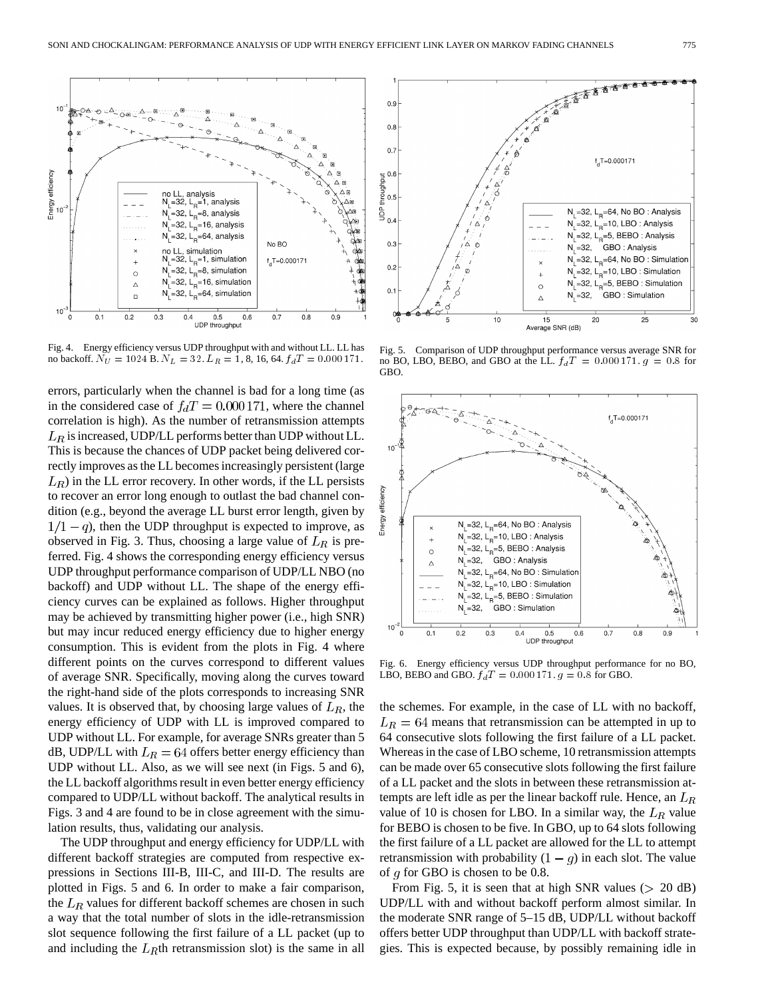

Fig. 4. Energy efficiency versus UDP throughput with and without LL. LL has no backoff.  $N_U = 1024$  B.  $N_L = 32$ .  $L_R = 1, 8, 16, 64$ .  $f_dT = 0.000171$ .

errors, particularly when the channel is bad for a long time (as in the considered case of  $f_dT = 0.000171$ , where the channel correlation is high). As the number of retransmission attempts  $L_R$  is increased, UDP/LL performs better than UDP without LL. This is because the chances of UDP packet being delivered correctly improves as the LL becomes increasingly persistent (large  $L_R$ ) in the LL error recovery. In other words, if the LL persists to recover an error long enough to outlast the bad channel condition (e.g., beyond the average LL burst error length, given by  $1/1 - q$ ), then the UDP throughput is expected to improve, as observed in Fig. 3. Thus, choosing a large value of  $L_R$  is preferred. Fig. 4 shows the corresponding energy efficiency versus UDP throughput performance comparison of UDP/LL NBO (no backoff) and UDP without LL. The shape of the energy efficiency curves can be explained as follows. Higher throughput may be achieved by transmitting higher power (i.e., high SNR) but may incur reduced energy efficiency due to higher energy consumption. This is evident from the plots in Fig. 4 where different points on the curves correspond to different values of average SNR. Specifically, moving along the curves toward the right-hand side of the plots corresponds to increasing SNR values. It is observed that, by choosing large values of  $L_R$ , the energy efficiency of UDP with LL is improved compared to UDP without LL. For example, for average SNRs greater than 5 dB, UDP/LL with  $L_R = 64$  offers better energy efficiency than UDP without LL. Also, as we will see next (in Figs. 5 and 6), the LL backoff algorithms result in even better energy efficiency compared to UDP/LL without backoff. The analytical results in Figs. 3 and 4 are found to be in close agreement with the simulation results, thus, validating our analysis.

The UDP throughput and energy efficiency for UDP/LL with different backoff strategies are computed from respective expressions in Sections III-B, III-C, and III-D. The results are plotted in Figs. 5 and 6. In order to make a fair comparison, the  $L_R$  values for different backoff schemes are chosen in such a way that the total number of slots in the idle-retransmission slot sequence following the first failure of a LL packet (up to and including the  $L_R$ th retransmission slot) is the same in all



Fig. 5. Comparison of UDP throughput performance versus average SNR for no BO, LBO, BEBO, and GBO at the LL.  $f_dT = 0.000171$ .  $g = 0.8$  for GBO.



Fig. 6. Energy efficiency versus UDP throughput performance for no BO, LBO, BEBO and GBO.  $f_d T = 0.000171. g = 0.8$  for GBO.

the schemes. For example, in the case of LL with no backoff,  $L_R = 64$  means that retransmission can be attempted in up to 64 consecutive slots following the first failure of a LL packet. Whereas in the case of LBO scheme, 10 retransmission attempts can be made over 65 consecutive slots following the first failure of a LL packet and the slots in between these retransmission attempts are left idle as per the linear backoff rule. Hence, an  $L_R$ value of 10 is chosen for LBO. In a similar way, the  $L_R$  value for BEBO is chosen to be five. In GBO, up to 64 slots following the first failure of a LL packet are allowed for the LL to attempt retransmission with probability  $(1 - g)$  in each slot. The value of  $q$  for GBO is chosen to be 0.8.

From Fig. 5, it is seen that at high SNR values ( $> 20$  dB) UDP/LL with and without backoff perform almost similar. In the moderate SNR range of 5–15 dB, UDP/LL without backoff offers better UDP throughput than UDP/LL with backoff strategies. This is expected because, by possibly remaining idle in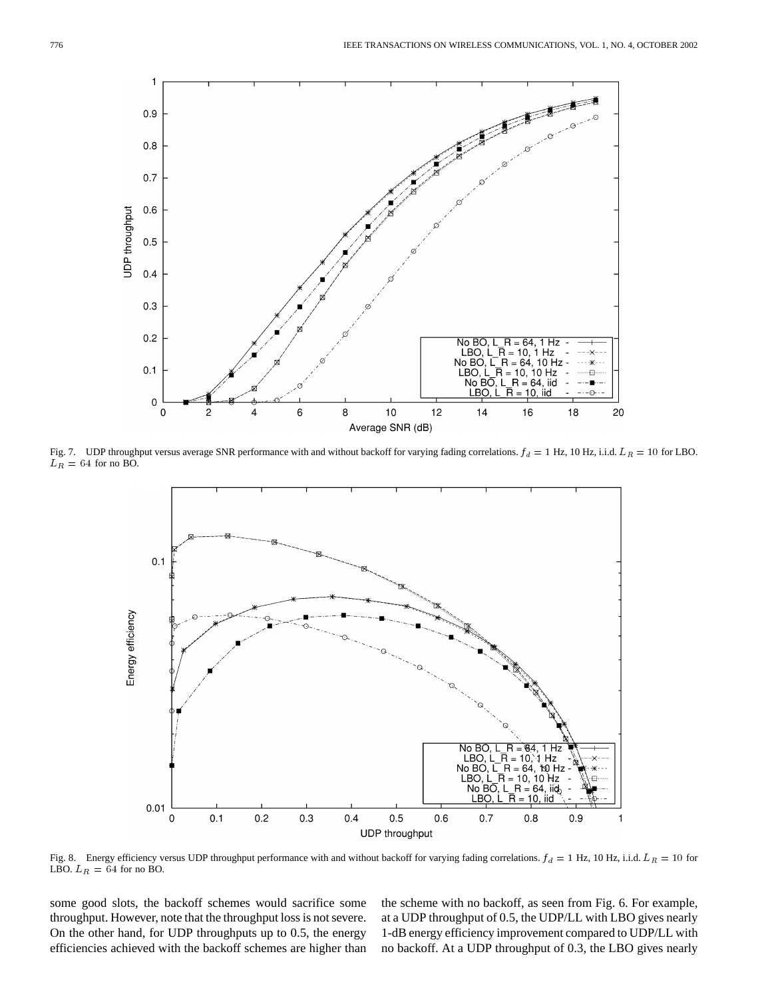

Fig. 7. UDP throughput versus average SNR performance with and without backoff for varying fading correlations.  $f_d = 1$  Hz, 10 Hz, i.i.d.  $L_R = 10$  for LBO.  $L_R = 64$  for no BO.



Fig. 8. Energy efficiency versus UDP throughput performance with and without backoff for varying fading correlations.  $f_d = 1$  Hz, 10 Hz, i.i.d.  $L_R = 10$  for LBO.  $L_R = 64$  for no BO.

some good slots, the backoff schemes would sacrifice some throughput. However, note that the throughput loss is not severe. On the other hand, for UDP throughputs up to 0.5, the energy efficiencies achieved with the backoff schemes are higher than the scheme with no backoff, as seen from Fig. 6. For example, at a UDP throughput of 0.5, the UDP/LL with LBO gives nearly 1-dB energy efficiency improvement compared to UDP/LL with no backoff. At a UDP throughput of 0.3, the LBO gives nearly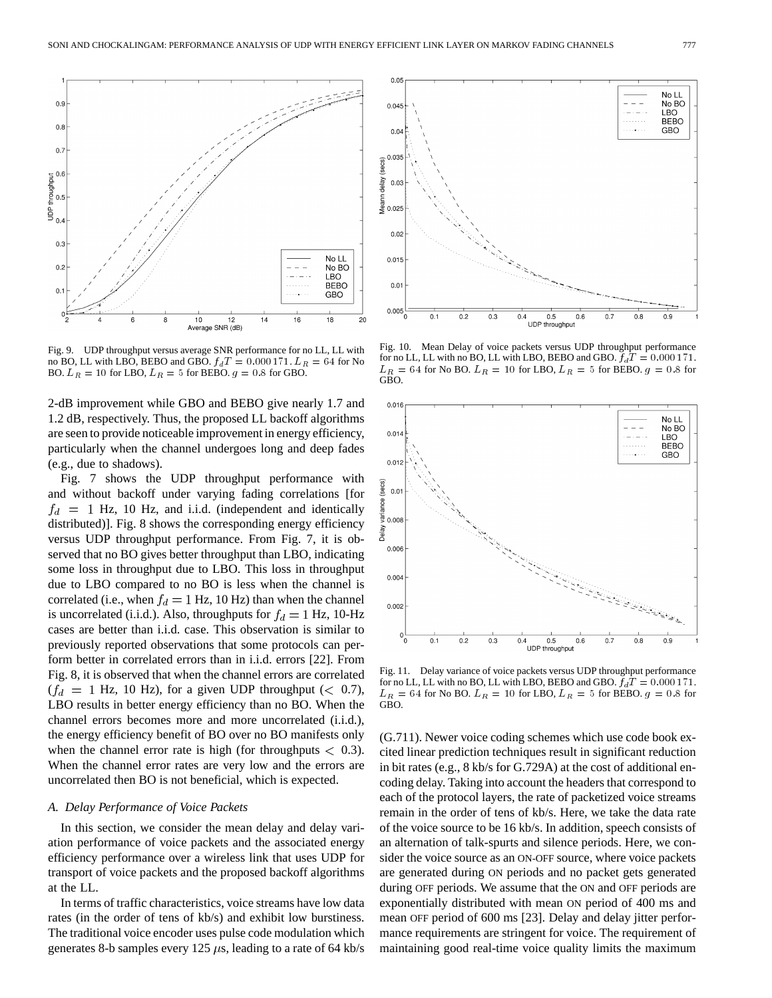

Fig. 9. UDP throughput versus average SNR performance for no LL, LL with no BO, LL with LBO, BEBO and GBO.  $f_dT = 0.000171$ .  $L_R = 64$  for No BO.  $L_R = 10$  for LBO,  $L_R = 5$  for BEBO.  $g = 0.8$  for GBO.

2-dB improvement while GBO and BEBO give nearly 1.7 and 1.2 dB, respectively. Thus, the proposed LL backoff algorithms are seen to provide noticeable improvement in energy efficiency, particularly when the channel undergoes long and deep fades (e.g., due to shadows).

Fig. 7 shows the UDP throughput performance with and without backoff under varying fading correlations [for  $f_d = 1$  Hz, 10 Hz, and i.i.d. (independent and identically distributed)]. Fig. 8 shows the corresponding energy efficiency versus UDP throughput performance. From Fig. 7, it is observed that no BO gives better throughput than LBO, indicating some loss in throughput due to LBO. This loss in throughput due to LBO compared to no BO is less when the channel is correlated (i.e., when  $f_d = 1$  Hz, 10 Hz) than when the channel is uncorrelated (i.i.d.). Also, throughputs for  $f_d = 1$  Hz, 10-Hz cases are better than i.i.d. case. This observation is similar to previously reported observations that some protocols can perform better in correlated errors than in i.i.d. errors [22]. From Fig. 8, it is observed that when the channel errors are correlated  $(f_d = 1$  Hz, 10 Hz), for a given UDP throughput (< 0.7), LBO results in better energy efficiency than no BO. When the channel errors becomes more and more uncorrelated (i.i.d.), the energy efficiency benefit of BO over no BO manifests only when the channel error rate is high (for throughputs  $<$  0.3). When the channel error rates are very low and the errors are uncorrelated then BO is not beneficial, which is expected.

#### *A. Delay Performance of Voice Packets*

In this section, we consider the mean delay and delay variation performance of voice packets and the associated energy efficiency performance over a wireless link that uses UDP for transport of voice packets and the proposed backoff algorithms at the LL.

In terms of traffic characteristics, voice streams have low data rates (in the order of tens of kb/s) and exhibit low burstiness. The traditional voice encoder uses pulse code modulation which generates 8-b samples every 125  $\mu$ s, leading to a rate of 64 kb/s



Fig. 10. Mean Delay of voice packets versus UDP throughput performance for no LL, LL with no BO, LL with LBO, BEBO and GBO.  $f_dT = 0.000171$ .  $L_R = 64$  for No BO.  $L_R = 10$  for LBO,  $L_R = 5$  for BEBO.  $g = 0.8$  for GBO.



Fig. 11. Delay variance of voice packets versus UDP throughput performance for no LL, LL with no BO, LL with LBO, BEBO and GBO.  $f_dT = 0.000171$ .  $L_R = 64$  for No BO.  $L_R = 10$  for LBO,  $L_R = 5$  for BEBO.  $g = 0.8$  for GBO.

(G.711). Newer voice coding schemes which use code book excited linear prediction techniques result in significant reduction in bit rates (e.g., 8 kb/s for G.729A) at the cost of additional encoding delay. Taking into account the headers that correspond to each of the protocol layers, the rate of packetized voice streams remain in the order of tens of kb/s. Here, we take the data rate of the voice source to be 16 kb/s. In addition, speech consists of an alternation of talk-spurts and silence periods. Here, we consider the voice source as an ON-OFF source, where voice packets are generated during ON periods and no packet gets generated during OFF periods. We assume that the ON and OFF periods are exponentially distributed with mean ON period of 400 ms and mean OFF period of 600 ms [23]. Delay and delay jitter performance requirements are stringent for voice. The requirement of maintaining good real-time voice quality limits the maximum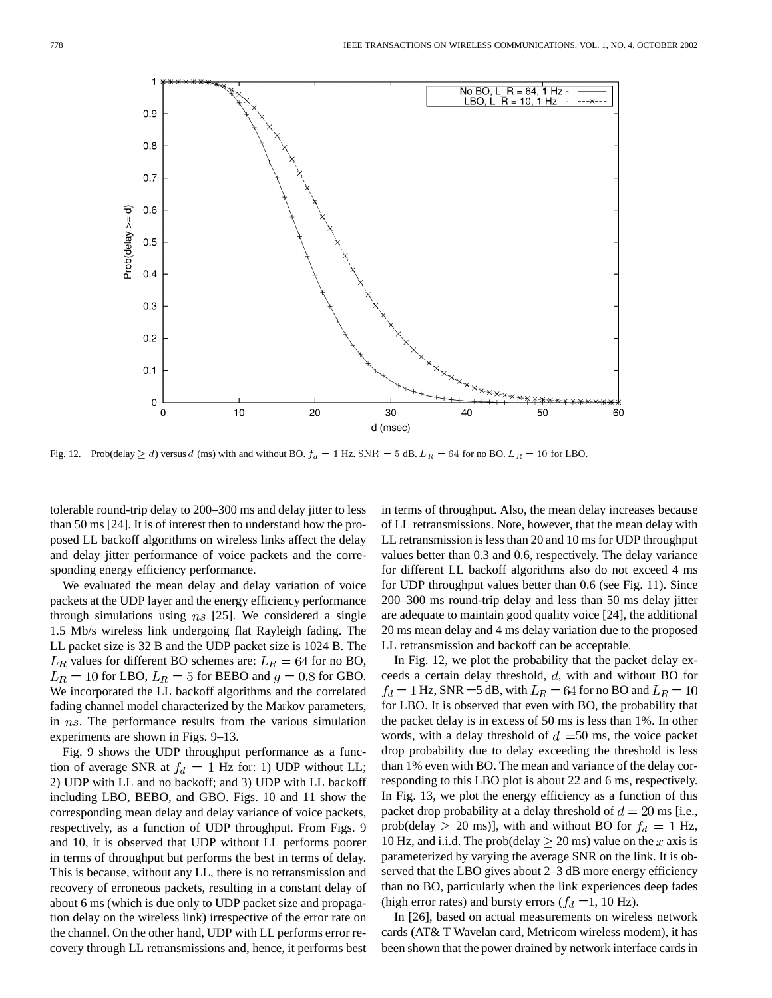

Fig. 12. Prob(delay  $\geq d$ ) versus d (ms) with and without BO.  $f_d = 1$  Hz. SNR = 5 dB.  $L_R = 64$  for no BO.  $L_R = 10$  for LBO.

tolerable round-trip delay to 200–300 ms and delay jitter to less than 50 ms [24]. It is of interest then to understand how the proposed LL backoff algorithms on wireless links affect the delay and delay jitter performance of voice packets and the corresponding energy efficiency performance.

We evaluated the mean delay and delay variation of voice packets at the UDP layer and the energy efficiency performance through simulations using  $ns$  [25]. We considered a single 1.5 Mb/s wireless link undergoing flat Rayleigh fading. The LL packet size is 32 B and the UDP packet size is 1024 B. The  $L_R$  values for different BO schemes are:  $L_R = 64$  for no BO,  $L_R = 10$  for LBO,  $L_R = 5$  for BEBO and  $g = 0.8$  for GBO. We incorporated the LL backoff algorithms and the correlated fading channel model characterized by the Markov parameters, in  $ns$ . The performance results from the various simulation experiments are shown in Figs. 9–13.

Fig. 9 shows the UDP throughput performance as a function of average SNR at  $f_d = 1$  Hz for: 1) UDP without LL; 2) UDP with LL and no backoff; and 3) UDP with LL backoff including LBO, BEBO, and GBO. Figs. 10 and 11 show the corresponding mean delay and delay variance of voice packets, respectively, as a function of UDP throughput. From Figs. 9 and 10, it is observed that UDP without LL performs poorer in terms of throughput but performs the best in terms of delay. This is because, without any LL, there is no retransmission and recovery of erroneous packets, resulting in a constant delay of about 6 ms (which is due only to UDP packet size and propagation delay on the wireless link) irrespective of the error rate on the channel. On the other hand, UDP with LL performs error recovery through LL retransmissions and, hence, it performs best in terms of throughput. Also, the mean delay increases because of LL retransmissions. Note, however, that the mean delay with LL retransmission is less than 20 and 10 ms for UDP throughput values better than 0.3 and 0.6, respectively. The delay variance for different LL backoff algorithms also do not exceed 4 ms for UDP throughput values better than 0.6 (see Fig. 11). Since 200–300 ms round-trip delay and less than 50 ms delay jitter are adequate to maintain good quality voice [24], the additional 20 ms mean delay and 4 ms delay variation due to the proposed LL retransmission and backoff can be acceptable.

In Fig. 12, we plot the probability that the packet delay exceeds a certain delay threshold,  $d$ , with and without BO for  $f_d = 1$  Hz, SNR = 5 dB, with  $L_R = 64$  for no BO and  $L_R = 10$ for LBO. It is observed that even with BO, the probability that the packet delay is in excess of 50 ms is less than 1%. In other words, with a delay threshold of  $d = 50$  ms, the voice packet drop probability due to delay exceeding the threshold is less than 1% even with BO. The mean and variance of the delay corresponding to this LBO plot is about 22 and 6 ms, respectively. In Fig. 13, we plot the energy efficiency as a function of this packet drop probability at a delay threshold of  $d = 20$  ms [i.e., prob(delay  $\geq$  20 ms)], with and without BO for  $f_d = 1$  Hz, 10 Hz, and i.i.d. The prob(delay  $\geq$  20 ms) value on the x axis is parameterized by varying the average SNR on the link. It is observed that the LBO gives about 2–3 dB more energy efficiency than no BO, particularly when the link experiences deep fades (high error rates) and bursty errors ( $f_d$  =1, 10 Hz).

In [26], based on actual measurements on wireless network cards (AT& T Wavelan card, Metricom wireless modem), it has been shown that the power drained by network interface cards in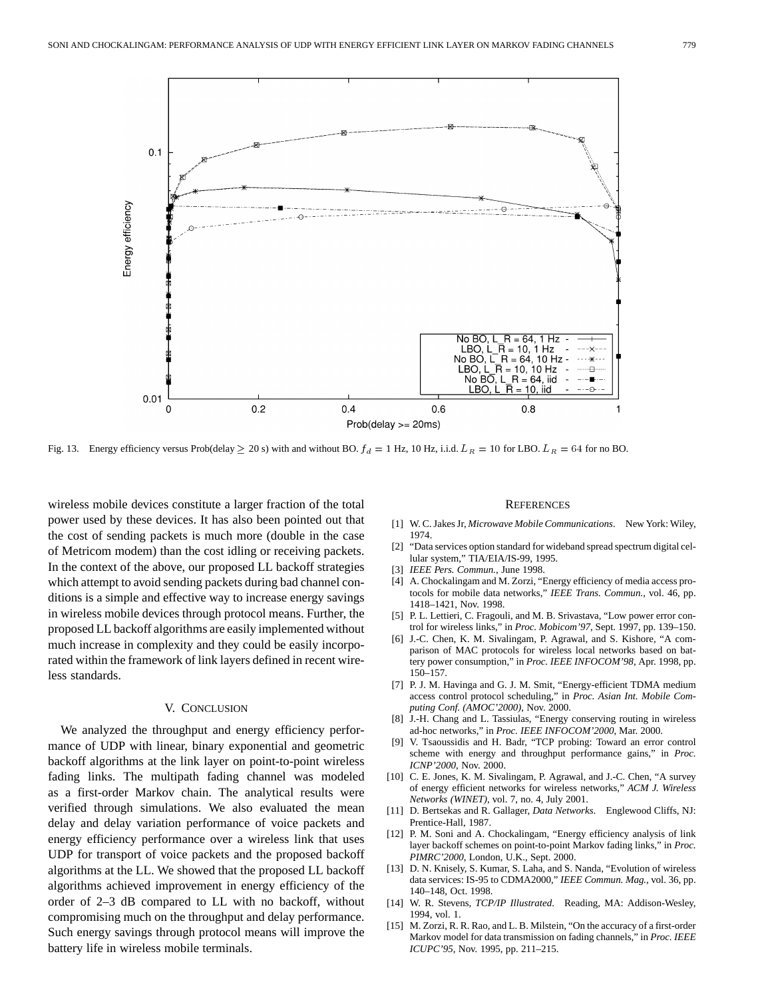

Fig. 13. Energy efficiency versus Prob(delay  $\geq$  20 s) with and without BO.  $f_d = 1$  Hz, 10 Hz, i.i.d.  $L_R = 10$  for LBO.  $L_R = 64$  for no BO.

wireless mobile devices constitute a larger fraction of the total power used by these devices. It has also been pointed out that the cost of sending packets is much more (double in the case of Metricom modem) than the cost idling or receiving packets. In the context of the above, our proposed LL backoff strategies which attempt to avoid sending packets during bad channel conditions is a simple and effective way to increase energy savings in wireless mobile devices through protocol means. Further, the proposed LL backoff algorithms are easily implemented without much increase in complexity and they could be easily incorporated within the framework of link layers defined in recent wireless standards.

## V. CONCLUSION

We analyzed the throughput and energy efficiency performance of UDP with linear, binary exponential and geometric backoff algorithms at the link layer on point-to-point wireless fading links. The multipath fading channel was modeled as a first-order Markov chain. The analytical results were verified through simulations. We also evaluated the mean delay and delay variation performance of voice packets and energy efficiency performance over a wireless link that uses UDP for transport of voice packets and the proposed backoff algorithms at the LL. We showed that the proposed LL backoff algorithms achieved improvement in energy efficiency of the order of 2–3 dB compared to LL with no backoff, without compromising much on the throughput and delay performance. Such energy savings through protocol means will improve the battery life in wireless mobile terminals.

#### **REFERENCES**

- [1] W. C. Jakes Jr, *Microwave Mobile Communications*. New York: Wiley, 1974.
- [2] "Data services option standard for wideband spread spectrum digital cellular system," TIA/EIA/IS-99, 1995.
- [3] *IEEE Pers. Commun.*, June 1998.
- [4] A. Chockalingam and M. Zorzi, "Energy efficiency of media access protocols for mobile data networks," *IEEE Trans. Commun.*, vol. 46, pp. 1418–1421, Nov. 1998.
- [5] P. L. Lettieri, C. Fragouli, and M. B. Srivastava, "Low power error control for wireless links," in *Proc. Mobicom'97*, Sept. 1997, pp. 139–150.
- [6] J.-C. Chen, K. M. Sivalingam, P. Agrawal, and S. Kishore, "A comparison of MAC protocols for wireless local networks based on battery power consumption," in *Proc. IEEE INFOCOM'98*, Apr. 1998, pp. 150–157.
- [7] P. J. M. Havinga and G. J. M. Smit, "Energy-efficient TDMA medium access control protocol scheduling," in *Proc. Asian Int. Mobile Computing Conf. (AMOC'2000)*, Nov. 2000.
- [8] J.-H. Chang and L. Tassiulas, "Energy conserving routing in wireless ad-hoc networks," in *Proc. IEEE INFOCOM'2000*, Mar. 2000.
- [9] V. Tsaoussidis and H. Badr, "TCP probing: Toward an error control scheme with energy and throughput performance gains," in *Proc. ICNP'2000*, Nov. 2000.
- [10] C. E. Jones, K. M. Sivalingam, P. Agrawal, and J.-C. Chen, "A survey of energy efficient networks for wireless networks," *ACM J. Wireless Networks (WINET)*, vol. 7, no. 4, July 2001.
- [11] D. Bertsekas and R. Gallager, *Data Networks*. Englewood Cliffs, NJ: Prentice-Hall, 1987.
- [12] P. M. Soni and A. Chockalingam, "Energy efficiency analysis of link layer backoff schemes on point-to-point Markov fading links," in *Proc. PIMRC'2000*, London, U.K., Sept. 2000.
- [13] D. N. Knisely, S. Kumar, S. Laha, and S. Nanda, "Evolution of wireless data services: IS-95 to CDMA2000," *IEEE Commun. Mag.*, vol. 36, pp. 140–148, Oct. 1998.
- [14] W. R. Stevens, *TCP/IP Illustrated*. Reading, MA: Addison-Wesley, 1994, vol. 1.
- [15] M. Zorzi, R. R. Rao, and L. B. Milstein, "On the accuracy of a first-order Markov model for data transmission on fading channels," in *Proc. IEEE ICUPC'95*, Nov. 1995, pp. 211–215.